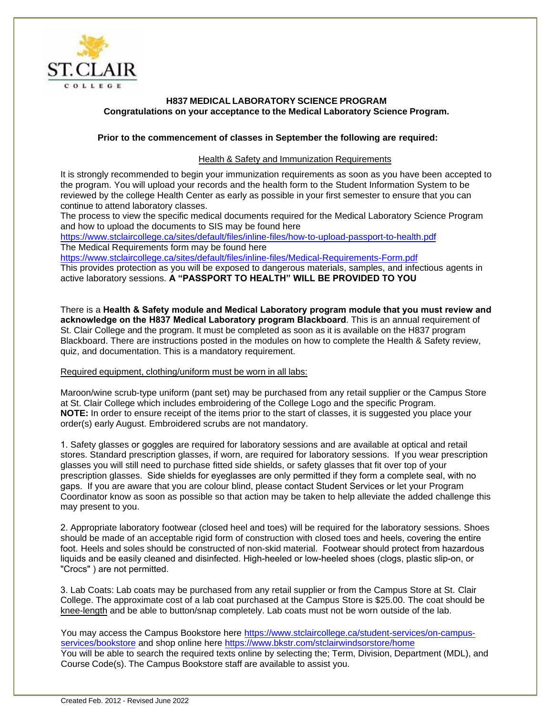

# **H837 MEDICAL LABORATORY SCIENCE PROGRAM Congratulations on your acceptance to the Medical Laboratory Science Program.**

## **Prior to the commencement of classes in September the following are required:**

## Health & Safety and Immunization Requirements

It is strongly recommended to begin your immunization requirements as soon as you have been accepted to the program. You will upload your records and the health form to the Student Information System to be reviewed by the college Health Center as early as possible in your first semester to ensure that you can continue to attend laboratory classes.

The process to view the specific medical documents required for the Medical Laboratory Science Program and how to upload the documents to SIS may be found here

<https://www.stclaircollege.ca/sites/default/files/inline-files/how-to-upload-passport-to-health.pdf> The Medical Requirements form may be found here

<https://www.stclaircollege.ca/sites/default/files/inline-files/Medical-Requirements-Form.pdf>

This provides protection as you will be exposed to dangerous materials, samples, and infectious agents in active laboratory sessions. **A "PASSPORT TO HEALTH" WILL BE PROVIDED TO YOU**

There is a **Health & Safety module and Medical Laboratory program module that you must review and acknowledge on the H837 Medical Laboratory program Blackboard**. This is an annual requirement of St. Clair College and the program. It must be completed as soon as it is available on the H837 program Blackboard. There are instructions posted in the modules on how to complete the Health & Safety review, quiz, and documentation. This is a mandatory requirement.

### Required equipment, clothing/uniform must be worn in all labs:

Maroon/wine scrub-type uniform (pant set) may be purchased from any retail supplier or the Campus Store at St. Clair College which includes embroidering of the College Logo and the specific Program. **NOTE:** In order to ensure receipt of the items prior to the start of classes, it is suggested you place your order(s) early August. Embroidered scrubs are not mandatory.

1. Safety glasses or goggles are required for laboratory sessions and are available at optical and retail stores. Standard prescription glasses, if worn, are required for laboratory sessions. If you wear prescription glasses you will still need to purchase fitted side shields, or safety glasses that fit over top of your prescription glasses. Side shields for eyeglasses are only permitted if they form a complete seal, with no gaps. If you are aware that you are colour blind, please contact Student Services or let your Program Coordinator know as soon as possible so that action may be taken to help alleviate the added challenge this may present to you.

2. Appropriate laboratory footwear (closed heel and toes) will be required for the laboratory sessions. Shoes should be made of an acceptable rigid form of construction with closed toes and heels, covering the entire foot. Heels and soles should be constructed of non-skid material. Footwear should protect from hazardous liquids and be easily cleaned and disinfected. High-heeled or low-heeled shoes (clogs, plastic slip-on, or "Crocs" ) are not permitted.

3. Lab Coats: Lab coats may be purchased from any retail supplier or from the Campus Store at St. Clair College. The approximate cost of a lab coat purchased at the Campus Store is \$25.00. The coat should be knee-length and be able to button/snap comp[letely. Lab coats must not be worn outside of the lab.](https://www.stclaircollege.ca/student-services/on-campus-services/bookstore)

You may access the Campus Bookstore here https://www.stclaircollege.ca/student-services/on-campusservices/bookstore and shop online here https://www.bkstr.com/stclairwindsorstore/home You will be able to search the required texts online by selecting the; Term, Division, Department (MDL), and Course Code(s). The Campus Bookstore staff are available to assist you.